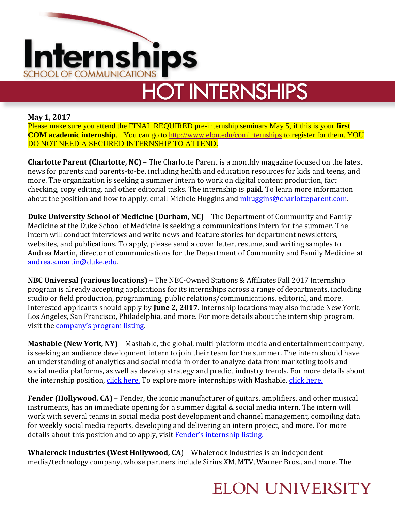

# **HOT INTERNSHIPS**

#### **May 1, 2017**

Please make sure you attend the FINAL REQUIRED pre-internship seminars May 5, if this is your **first COM academic internship**. You can go to [http://www.elon.edu/cominternships](http://www.elon.edu/e-web/academics/communications/internships/) to register for them. YOU DO NOT NEED A SECURED INTERNSHIP TO ATTEND.

**Charlotte Parent (Charlotte, NC)** – The Charlotte Parent is a monthly magazine focused on the latest news for parents and parents-to-be, including health and education resources for kids and teens, and more. The organization is seeking a summer intern to work on digital content production, fact checking, copy editing, and other editorial tasks. The internship is **paid**. To learn more information about the position and how to apply, email Michele Huggins and *mhuggins@charlotteparent.com*.

**Duke University School of Medicine (Durham, NC)** – The Department of Community and Family Medicine at the Duke School of Medicine is seeking a communications intern for the summer. The intern will conduct interviews and write news and feature stories for department newsletters, websites, and publications. To apply, please send a cover letter, resume, and writing samples to Andrea Martin, director of communications for the Department of Community and Family Medicine at [andrea.s.martin@duke.edu.](mailto:andrea.s.martin@duke.edu)

**NBC Universal (various locations)** – The NBC-Owned Stations & Affiliates Fall 2017 Internship program is already accepting applications for its internships across a range of departments, including studio or field production, programming, public relations/communications, editorial, and more. Interested applicants should apply by **June 2, 2017**. Internship locations may also include New York, Los Angeles, San Francisco, Philadelphia, and more. For more details about the internship program, visit the [company's program listing](https://sjobs.brassring.com/TGWebHost/jobdetails.aspx?partnerid=25354&siteid=5108&jobId=364160&Codes=AD009).

**Mashable (New York, NY)** – Mashable, the global, multi-platform media and entertainment company, is seeking an audience development intern to join their team for the summer. The intern should have an understanding of analytics and social media in order to analyze data from marketing tools and social media platforms, as well as develop strategy and predict industry trends. For more details about the internship position, [click here.](http://mashable.theresumator.com/apply/o07ieSR0jT/Internship-Audience-Growth-Intern-Summer-2017) To explore more internships with Mashable, [click here.](http://mashable.theresumator.com/)

**Fender (Hollywood, CA)** – Fender, the iconic manufacturer of guitars, amplifiers, and other musical instruments, has an immediate opening for a summer digital & social media intern. The intern will work with several teams in social media post development and channel management, compiling data for weekly social media reports, developing and delivering an intern project, and more. For more details about this position and to apply, visit **Fender's internship listing**.

**Whalerock Industries (West Hollywood, CA**) – Whalerock Industries is an independent media/technology company, whose partners include Sirius XM, MTV, Warner Bros., and more. The

### **ELON UNIVERSITY**